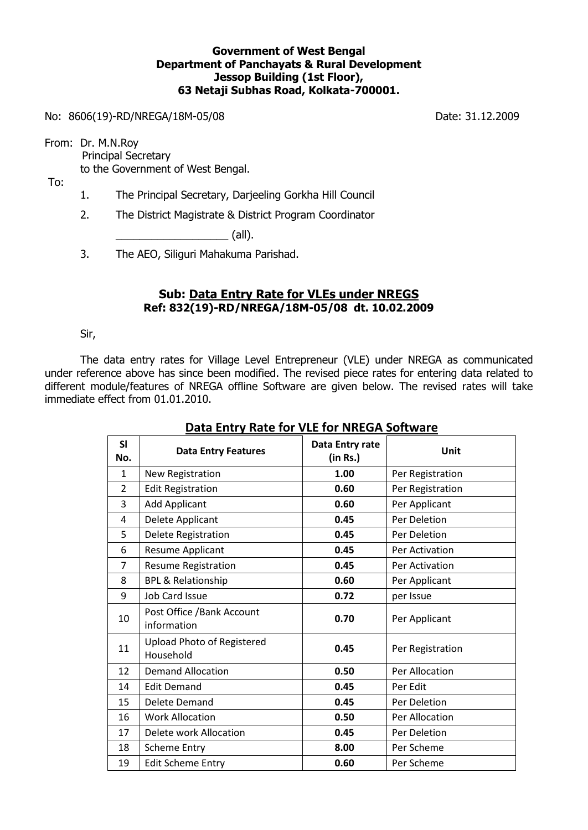## **Government of West Bengal Department of Panchayats & Rural Development Jessop Building (1st Floor), 63 Netaji Subhas Road, Kolkata-700001.**

No: 8606(19)-RD/NREGA/18M-05/08 Date: 31.12.2009

From: Dr. M.N.Roy Principal Secretary to the Government of West Bengal.

To:

- 1. The Principal Secretary, Darjeeling Gorkha Hill Council
- 2. The District Magistrate & District Program Coordinator

 $\Box$  (all).

3. The AEO, Siliguri Mahakuma Parishad.

## **Sub: Data Entry Rate for VLEs under NREGS Ref: 832(19)-RD/NREGA/18M-05/08 dt. 10.02.2009**

Sir,

The data entry rates for Village Level Entrepreneur (VLE) under NREGA as communicated under reference above has since been modified. The revised piece rates for entering data related to different module/features of NREGA offline Software are given below. The revised rates will take immediate effect from 01.01.2010.

| <b>SI</b><br>No. | <b>Data Entry Features</b>                     | Data Entry rate<br>(in Rs.) | Unit             |
|------------------|------------------------------------------------|-----------------------------|------------------|
| $\mathbf{1}$     | New Registration                               | 1.00                        | Per Registration |
| $\overline{2}$   | <b>Edit Registration</b>                       | 0.60                        | Per Registration |
| 3                | <b>Add Applicant</b>                           | 0.60                        | Per Applicant    |
| 4                | Delete Applicant                               | 0.45                        | Per Deletion     |
| 5                | Delete Registration                            | 0.45                        | Per Deletion     |
| 6                | Resume Applicant                               | 0.45                        | Per Activation   |
| 7                | <b>Resume Registration</b>                     | 0.45                        | Per Activation   |
| 8                | <b>BPL &amp; Relationship</b>                  | 0.60                        | Per Applicant    |
| 9                | <b>Job Card Issue</b>                          | 0.72                        | per Issue        |
| 10               | Post Office / Bank Account<br>information      | 0.70                        | Per Applicant    |
| 11               | <b>Upload Photo of Registered</b><br>Household | 0.45                        | Per Registration |
| 12               | <b>Demand Allocation</b>                       | 0.50                        | Per Allocation   |
| 14               | <b>Edit Demand</b>                             | 0.45                        | Per Edit         |
| 15               | Delete Demand                                  | 0.45                        | Per Deletion     |
| 16               | <b>Work Allocation</b>                         | 0.50                        | Per Allocation   |
| 17               | Delete work Allocation                         | 0.45                        | Per Deletion     |
| 18               | <b>Scheme Entry</b>                            | 8.00                        | Per Scheme       |
| 19               | <b>Edit Scheme Entry</b>                       | 0.60                        | Per Scheme       |

## **Data Entry Rate for VLE for NREGA Software**